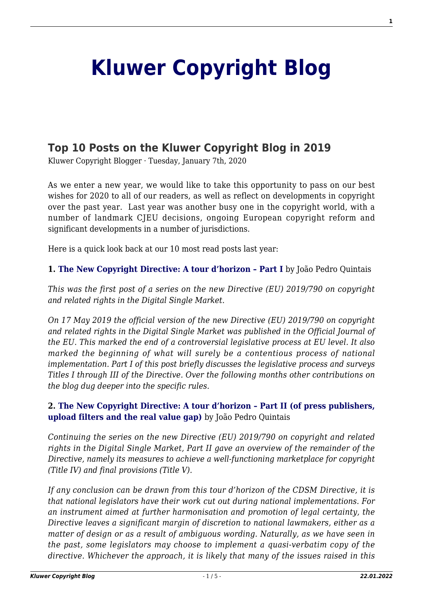## **[Kluwer Copyright Blog](http://copyrightblog.kluweriplaw.com/)**

## **[Top 10 Posts on the Kluwer Copyright Blog in 2019](http://copyrightblog.kluweriplaw.com/2020/01/07/top-10-posts-on-the-kluwer-copyright-blog-in-2019/)**

Kluwer Copyright Blogger · Tuesday, January 7th, 2020

As we enter a new year, we would like to take this opportunity to pass on our best wishes for 2020 to all of our readers, as well as reflect on developments in copyright over the past year. Last year was another busy one in the copyright world, with a number of landmark CJEU decisions, ongoing European copyright reform and significant developments in a number of jurisdictions.

Here is a quick look back at our 10 most read posts last year:

**1. [The New Copyright Directive: A tour d'horizon – Part I](http://copyrightblog.kluweriplaw.com/2019/06/07/the-new-copyright-directive-a-tour-dhorizon-part-i/)** by João Pedro Quintais

*This was the first post of a series on the new Directive (EU) 2019/790 on copyright and related rights in the Digital Single Market*.

*On 17 May 2019 the official version of the new Directive (EU) 2019/790 on copyright and related rights in the Digital Single Market was published in the Official Journal of the EU. This marked the end of a controversial legislative process at EU level. It also marked the beginning of what will surely be a contentious process of national implementation. Part I of this post briefly discusses the legislative process and surveys Titles I through III of the Directive. Over the following months other contributions on the blog dug deeper into the specific rules.*

## **2. [The New Copyright Directive: A tour d'horizon – Part II \(of press publishers,](http://copyrightblog.kluweriplaw.com/2019/06/17/the-new-copyright-directive-a-tour-dhorizon-part-ii-of-press-publishers-upload-filters-and-the-real-value-gap/) [upload filters and the real value gap\)](http://copyrightblog.kluweriplaw.com/2019/06/17/the-new-copyright-directive-a-tour-dhorizon-part-ii-of-press-publishers-upload-filters-and-the-real-value-gap/)** by João Pedro Quintais

*Continuing the series on the new Directive (EU) 2019/790 on copyright and related rights in the Digital Single Market, Part II gave an overview of the remainder of the Directive, namely its measures to achieve a well-functioning marketplace for copyright (Title IV) and final provisions (Title V).*

*If any conclusion can be drawn from this tour d'horizon of the CDSM Directive, it is that national legislators have their work cut out during national implementations. For an instrument aimed at further harmonisation and promotion of legal certainty, the Directive leaves a significant margin of discretion to national lawmakers, either as a matter of design or as a result of ambiguous wording. Naturally, as we have seen in the past, some legislators may choose to implement a quasi-verbatim copy of the directive. Whichever the approach, it is likely that many of the issues raised in this*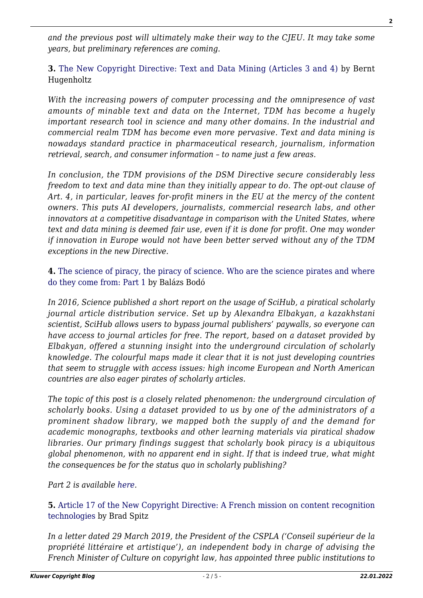*and the previous post will ultimately make their way to the CJEU. It may take some years, but preliminary references are coming.*

**3.** [The New Copyright Directive: Text and Data Mining \(Articles 3 and 4\)](http://copyrightblog.kluweriplaw.com/2019/07/24/the-new-copyright-directive-text-and-data-mining-articles-3-and-4/) by Bernt Hugenholtz

*With the increasing powers of computer processing and the omnipresence of vast amounts of minable text and data on the Internet, TDM has become a hugely important research tool in science and many other domains. In the industrial and commercial realm TDM has become even more pervasive. Text and data mining is nowadays standard practice in pharmaceutical research, journalism, information retrieval, search, and consumer information – to name just a few areas.*

*In conclusion, the TDM provisions of the DSM Directive secure considerably less freedom to text and data mine than they initially appear to do. The opt-out clause of Art. 4, in particular, leaves for-profit miners in the EU at the mercy of the content owners. This puts AI developers, journalists, commercial research labs, and other innovators at a competitive disadvantage in comparison with the United States, where text and data mining is deemed fair use, even if it is done for profit. One may wonder if innovation in Europe would not have been better served without any of the TDM exceptions in the new Directive.*

**4.** [The science of piracy, the piracy of science. Who are the science pirates and where](http://copyrightblog.kluweriplaw.com/2019/03/06/the-science-of-piracy-the-piracy-of-science-who-are-the-science-pirates-and-where-do-they-come-from-part-1/) [do they come from: Part 1](http://copyrightblog.kluweriplaw.com/2019/03/06/the-science-of-piracy-the-piracy-of-science-who-are-the-science-pirates-and-where-do-they-come-from-part-1/) by Balázs Bodó

*In 2016, Science published a short report on the usage of SciHub, a piratical scholarly journal article distribution service. Set up by Alexandra Elbakyan, a kazakhstani scientist, SciHub allows users to bypass journal publishers' paywalls, so everyone can have access to journal articles for free. The report, based on a dataset provided by Elbakyan, offered a stunning insight into the underground circulation of scholarly knowledge. The colourful maps made it clear that it is not just developing countries that seem to struggle with access issues: high income European and North American countries are also eager pirates of scholarly articles.*

*The topic of this post is a closely related phenomenon: the underground circulation of scholarly books. Using a dataset provided to us by one of the administrators of a prominent shadow library, we mapped both the supply of and the demand for academic monographs, textbooks and other learning materials via piratical shadow libraries. Our primary findings suggest that scholarly book piracy is a ubiquitous global phenomenon, with no apparent end in sight. If that is indeed true, what might the consequences be for the status quo in scholarly publishing?*

*Part 2 is available [here](http://copyrightblog.kluweriplaw.com/2019/03/21/the-science-of-piracy-the-piracy-of-science-who-are-the-science-pirates-and-where-do-they-come-from-part-2/).*

**5.** [Article 17 of the New Copyright Directive: A French mission on content recognition](http://copyrightblog.kluweriplaw.com/2019/06/11/article-17-of-the-new-copyright-directive-a-french-mission-on-content-recognition-technologies/) [technologies](http://copyrightblog.kluweriplaw.com/2019/06/11/article-17-of-the-new-copyright-directive-a-french-mission-on-content-recognition-technologies/) by Brad Spitz

*In a letter dated 29 March 2019, the President of the CSPLA ('Conseil supérieur de la propriété littéraire et artistique'), an independent body in charge of advising the French Minister of Culture on copyright law, has appointed three public institutions to*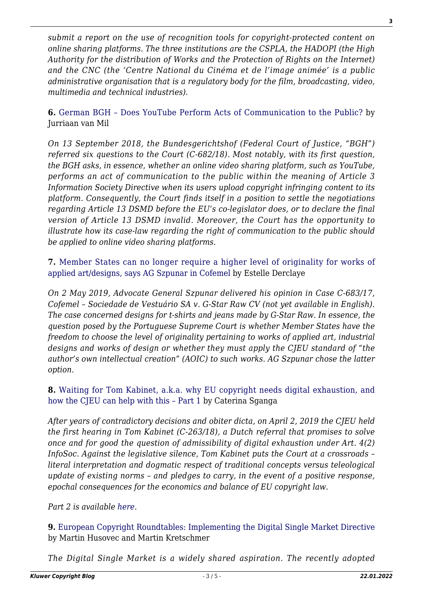*submit a report on the use of recognition tools for copyright-protected content on online sharing platforms. The three institutions are the CSPLA, the HADOPI (the High Authority for the distribution of Works and the Protection of Rights on the Internet) and the CNC (the 'Centre National du Cinéma et de l'image animée' is a public administrative organisation that is a regulatory body for the film, broadcasting, video, multimedia and technical industries).*

**6.** [German BGH – Does YouTube Perform Acts of Communication to the Public?](http://copyrightblog.kluweriplaw.com/2019/01/27/german-bgh-does-youtube-perform-acts-of-communication-to-the-public/) by Jurriaan van Mil

*On 13 September 2018, the Bundesgerichtshof (Federal Court of Justice, "BGH") referred six questions to the Court (C-682/18). Most notably, with its first question, the BGH asks, in essence, whether an online video sharing platform, such as YouTube, performs an act of communication to the public within the meaning of Article 3 Information Society Directive when its users upload copyright infringing content to its platform. Consequently, the Court finds itself in a position to settle the negotiations regarding Article 13 DSMD before the EU's co-legislator does, or to declare the final version of Article 13 DSMD invalid. Moreover, the Court has the opportunity to illustrate how its case-law regarding the right of communication to the public should be applied to online video sharing platforms.*

**7.** [Member States can no longer require a higher level of originality for works of](http://copyrightblog.kluweriplaw.com/2019/05/03/member-states-can-no-longer-require-a-higher-level-of-originality-for-works-of-applied-artdesigns-says-ag-szpunar-in-cofemel/) [applied art/designs, says AG Szpunar in Cofemel](http://copyrightblog.kluweriplaw.com/2019/05/03/member-states-can-no-longer-require-a-higher-level-of-originality-for-works-of-applied-artdesigns-says-ag-szpunar-in-cofemel/) by Estelle Derclaye

*On 2 May 2019, Advocate General Szpunar delivered his opinion in Case C-683/17, Cofemel – Sociedade de Vestuário SA v. G-Star Raw CV (not yet available in English). The case concerned designs for t-shirts and jeans made by G-Star Raw. In essence, the question posed by the Portuguese Supreme Court is whether Member States have the freedom to choose the level of originality pertaining to works of applied art, industrial designs and works of design or whether they must apply the CJEU standard of "the author's own intellectual creation" (AOIC) to such works. AG Szpunar chose the latter option.*

**8.** [Waiting for Tom Kabinet, a.k.a. why EU copyright needs digital exhaustion, and](http://copyrightblog.kluweriplaw.com/2019/04/15/waiting-for-tom-kabinet-a-k-a-why-eu-copyright-needs-digital-exhaustion-and-how-the-cjeu-can-help-with-this-part-1/) [how the CJEU can help with this – Part 1](http://copyrightblog.kluweriplaw.com/2019/04/15/waiting-for-tom-kabinet-a-k-a-why-eu-copyright-needs-digital-exhaustion-and-how-the-cjeu-can-help-with-this-part-1/) by Caterina Sganga

*After years of contradictory decisions and obiter dicta, on April 2, 2019 the CJEU held the first hearing in Tom Kabinet (C-263/18), a Dutch referral that promises to solve once and for good the question of admissibility of digital exhaustion under Art. 4(2) InfoSoc. Against the legislative silence, Tom Kabinet puts the Court at a crossroads – literal interpretation and dogmatic respect of traditional concepts versus teleological update of existing norms – and pledges to carry, in the event of a positive response, epochal consequences for the economics and balance of EU copyright law.*

*Part 2 is available [here](http://copyrightblog.kluweriplaw.com/2019/04/23/waiting-for-tom-kabinet-a-k-a-why-eu-copyright-needs-digital-exhaustion-and-how-the-cjeu-can-help-with-this-part-2/).*

**9.** [European Copyright Roundtables: Implementing the Digital Single Market Directive](http://copyrightblog.kluweriplaw.com/2019/06/12/european-copyright-roundtables-implementing-the-digital-single-market-directive/) by Martin Husovec and Martin Kretschmer

*The Digital Single Market is a widely shared aspiration. The recently adopted*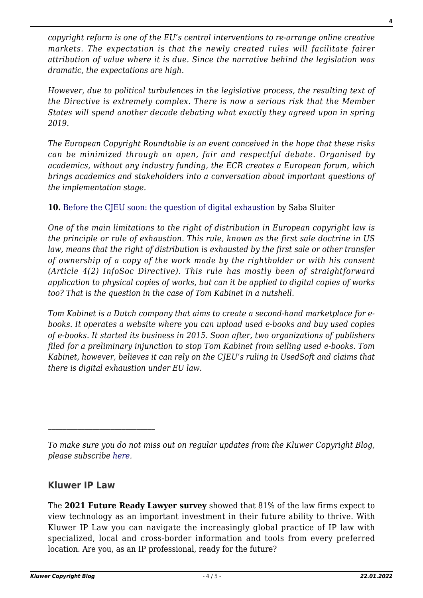*copyright reform is one of the EU's central interventions to re-arrange online creative markets. The expectation is that the newly created rules will facilitate fairer attribution of value where it is due. Since the narrative behind the legislation was dramatic, the expectations are high.*

*However, due to political turbulences in the legislative process, the resulting text of the Directive is extremely complex. There is now a serious risk that the Member States will spend another decade debating what exactly they agreed upon in spring 2019.*

*The European Copyright Roundtable is an event conceived in the hope that these risks can be minimized through an open, fair and respectful debate. Organised by academics, without any industry funding, the ECR creates a European forum, which brings academics and stakeholders into a conversation about important questions of the implementation stage.*

**10.** [Before the CJEU soon: the question of digital exhaustion](http://copyrightblog.kluweriplaw.com/2019/04/01/before-the-cjeu-soon-the-question-of-digital-exhaustion/) by Saba Sluiter

*One of the main limitations to the right of distribution in European copyright law is the principle or rule of exhaustion. This rule, known as the first sale doctrine in US law, means that the right of distribution is exhausted by the first sale or other transfer of ownership of a copy of the work made by the rightholder or with his consent (Article 4(2) InfoSoc Directive). This rule has mostly been of straightforward application to physical copies of works, but can it be applied to digital copies of works too? That is the question in the case of Tom Kabinet in a nutshell.*

*Tom Kabinet is a Dutch company that aims to create a second-hand marketplace for ebooks. It operates a website where you can upload used e-books and buy used copies of e-books. It started its business in 2015. Soon after, two organizations of publishers filed for a preliminary injunction to stop Tom Kabinet from selling used e-books. Tom Kabinet, however, believes it can rely on the CJEU's ruling in UsedSoft and claims that there is digital exhaustion under EU law.*

## **Kluwer IP Law**

 $\mathcal{L}_\text{max}$ 

The **2021 Future Ready Lawyer survey** showed that 81% of the law firms expect to view technology as an important investment in their future ability to thrive. With Kluwer IP Law you can navigate the increasingly global practice of IP law with specialized, local and cross-border information and tools from every preferred location. Are you, as an IP professional, ready for the future?

*To make sure you do not miss out on regular updates from the Kluwer Copyright Blog, please subscribe [here.](http://copyrightblog.kluweriplaw.com/newsletter)*